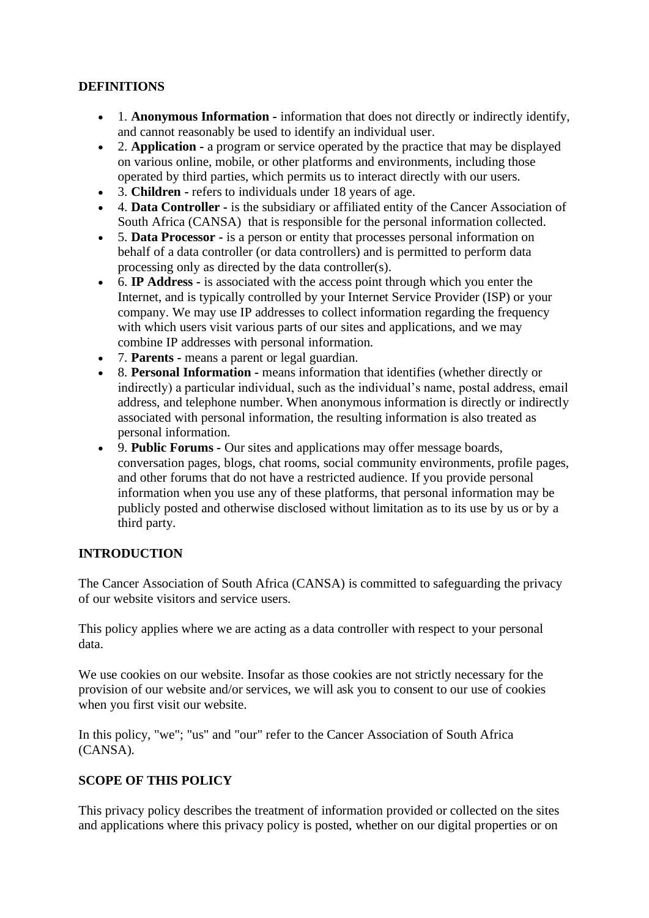#### **DEFINITIONS**

- 1. **Anonymous Information -** information that does not directly or indirectly identify, and cannot reasonably be used to identify an individual user.
- 2. **Application -** a program or service operated by the practice that may be displayed on various online, mobile, or other platforms and environments, including those operated by third parties, which permits us to interact directly with our users.
- 3. **Children -** refers to individuals under 18 years of age.
- 4. **Data Controller -** is the subsidiary or affiliated entity of the Cancer Association of South Africa (CANSA) that is responsible for the personal information collected.
- 5. **Data Processor -** is a person or entity that processes personal information on behalf of a data controller (or data controllers) and is permitted to perform data processing only as directed by the data controller(s).
- 6. **IP Address** is associated with the access point through which you enter the Internet, and is typically controlled by your Internet Service Provider (ISP) or your company. We may use IP addresses to collect information regarding the frequency with which users visit various parts of our sites and applications, and we may combine IP addresses with personal information.
- 7. **Parents -** means a parent or legal guardian.
- 8. **Personal Information -** means information that identifies (whether directly or indirectly) a particular individual, such as the individual's name, postal address, email address, and telephone number. When anonymous information is directly or indirectly associated with personal information, the resulting information is also treated as personal information.
- 9. **Public Forums -** Our sites and applications may offer message boards, conversation pages, blogs, chat rooms, social community environments, profile pages, and other forums that do not have a restricted audience. If you provide personal information when you use any of these platforms, that personal information may be publicly posted and otherwise disclosed without limitation as to its use by us or by a third party.

### **INTRODUCTION**

The Cancer Association of South Africa (CANSA) is committed to safeguarding the privacy of our website visitors and service users.

This policy applies where we are acting as a data controller with respect to your personal data.

We use cookies on our website. Insofar as those cookies are not strictly necessary for the provision of our website and/or services, we will ask you to consent to our use of cookies when you first visit our website.

In this policy, "we"; "us" and "our" refer to the Cancer Association of South Africa (CANSA)*.*

### **SCOPE OF THIS POLICY**

This privacy policy describes the treatment of information provided or collected on the sites and applications where this privacy policy is posted, whether on our digital properties or on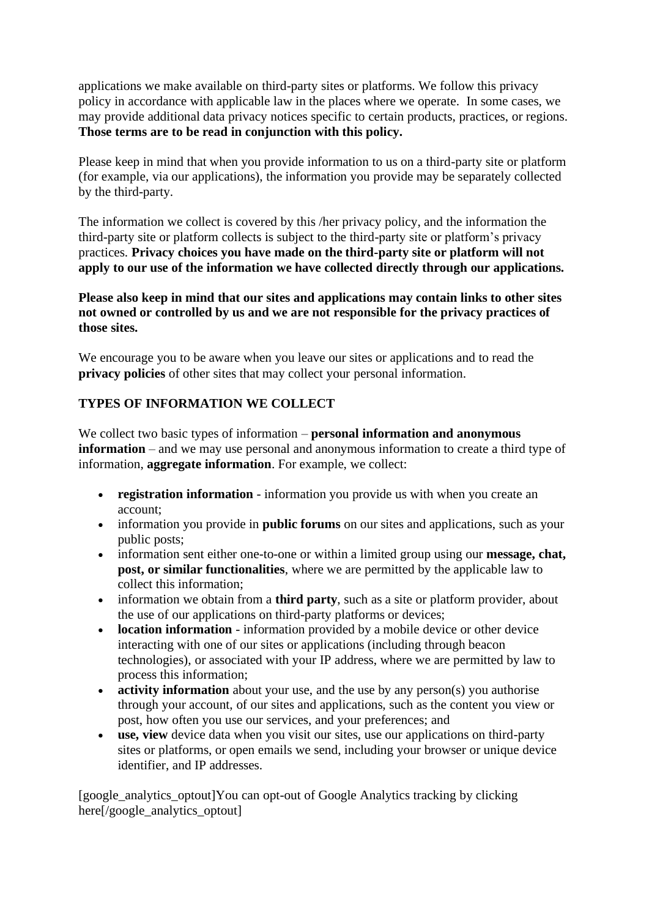applications we make available on third-party sites or platforms. We follow this privacy policy in accordance with applicable law in the places where we operate. In some cases, we may provide additional data privacy notices specific to certain products, practices, or regions. **Those terms are to be read in conjunction with this policy.**

Please keep in mind that when you provide information to us on a third-party site or platform (for example, via our applications), the information you provide may be separately collected by the third-party.

The information we collect is covered by this /her privacy policy, and the information the third-party site or platform collects is subject to the third-party site or platform's privacy practices. **Privacy choices you have made on the third-party site or platform will not apply to our use of the information we have collected directly through our applications.** 

**Please also keep in mind that our sites and applications may contain links to other sites not owned or controlled by us and we are not responsible for the privacy practices of those sites.**

We encourage you to be aware when you leave our sites or applications and to read the **privacy policies** of other sites that may collect your personal information.

### **TYPES OF INFORMATION WE COLLECT**

We collect two basic types of information – **personal information and anonymous information** – and we may use personal and anonymous information to create a third type of information, **aggregate information**. For example, we collect:

- **registration information** information you provide us with when you create an account;
- information you provide in **public forums** on our sites and applications, such as your public posts;
- information sent either one-to-one or within a limited group using our **message, chat, post, or similar functionalities**, where we are permitted by the applicable law to collect this information;
- information we obtain from a **third party**, such as a site or platform provider, about the use of our applications on third-party platforms or devices;
- **location information** information provided by a mobile device or other device interacting with one of our sites or applications (including through beacon technologies), or associated with your IP address, where we are permitted by law to process this information;
- **activity information** about your use, and the use by any person(s) you authorise through your account, of our sites and applications, such as the content you view or post, how often you use our services, and your preferences; and
- **use, view** device data when you visit our sites, use our applications on third-party sites or platforms, or open emails we send, including your browser or unique device identifier, and IP addresses.

[google\_analytics\_optout]You can opt-out of Google Analytics tracking by clicking here<sup>[/google\_analytics\_optout]</sup>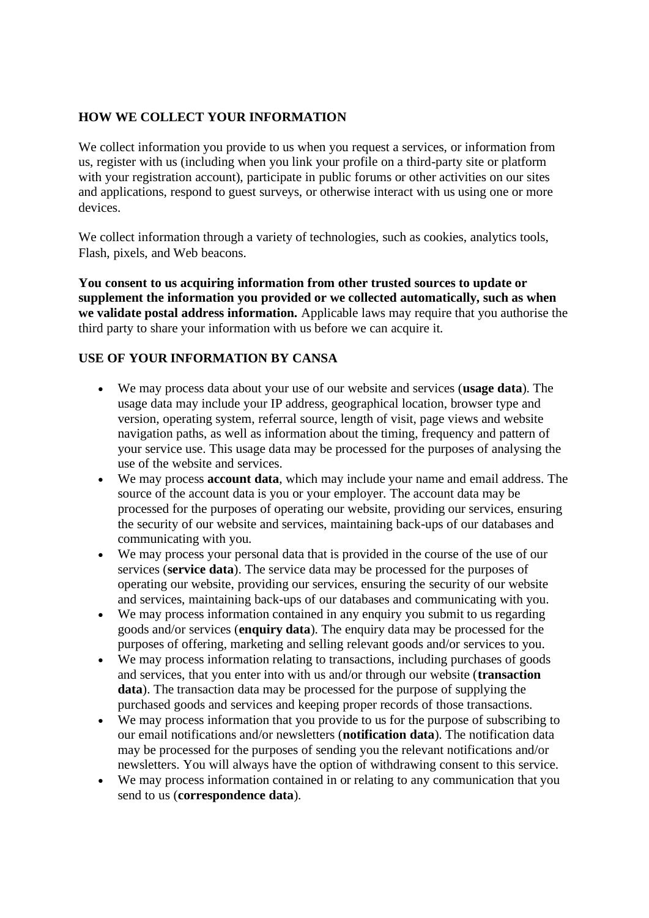## **HOW WE COLLECT YOUR INFORMATION**

We collect information you provide to us when you request a services, or information from us, register with us (including when you link your profile on a third-party site or platform with your registration account), participate in public forums or other activities on our sites and applications, respond to guest surveys, or otherwise interact with us using one or more devices.

We collect information through a variety of technologies, such as cookies, analytics tools, Flash, pixels, and Web beacons.

**You consent to us acquiring information from other trusted sources to update or supplement the information you provided or we collected automatically, such as when we validate postal address information.** Applicable laws may require that you authorise the third party to share your information with us before we can acquire it.

# **USE OF YOUR INFORMATION BY CANSA**

- We may process data about your use of our website and services (**usage data**). The usage data may include your IP address, geographical location, browser type and version, operating system, referral source, length of visit, page views and website navigation paths, as well as information about the timing, frequency and pattern of your service use. This usage data may be processed for the purposes of analysing the use of the website and services.
- We may process **account data**, which may include your name and email address. The source of the account data is you or your employer. The account data may be processed for the purposes of operating our website, providing our services, ensuring the security of our website and services, maintaining back-ups of our databases and communicating with you.
- We may process your personal data that is provided in the course of the use of our services (**service data**). The service data may be processed for the purposes of operating our website, providing our services, ensuring the security of our website and services, maintaining back-ups of our databases and communicating with you.
- We may process information contained in any enquiry you submit to us regarding goods and/or services (**enquiry data**). The enquiry data may be processed for the purposes of offering, marketing and selling relevant goods and/or services to you.
- We may process information relating to transactions, including purchases of goods and services, that you enter into with us and/or through our website (**transaction data**). The transaction data may be processed for the purpose of supplying the purchased goods and services and keeping proper records of those transactions.
- We may process information that you provide to us for the purpose of subscribing to our email notifications and/or newsletters (**notification data**). The notification data may be processed for the purposes of sending you the relevant notifications and/or newsletters. You will always have the option of withdrawing consent to this service.
- We may process information contained in or relating to any communication that you send to us (**correspondence data**).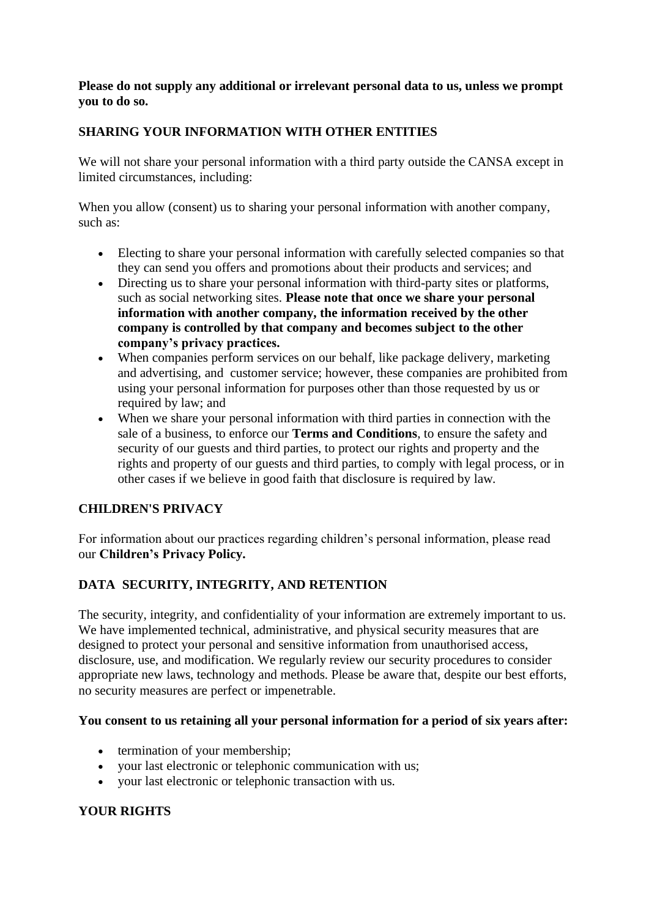#### **Please do not supply any additional or irrelevant personal data to us, unless we prompt you to do so.**

### **SHARING YOUR INFORMATION WITH OTHER ENTITIES**

We will not share your personal information with a third party outside the CANSA except in limited circumstances, including:

When you allow (consent) us to sharing your personal information with another company, such as:

- Electing to share your personal information with carefully selected companies so that they can send you offers and promotions about their products and services; and
- Directing us to share your personal information with third-party sites or platforms, such as social networking sites. **Please note that once we share your personal information with another company, the information received by the other company is controlled by that company and becomes subject to the other company's privacy practices.**
- When companies perform services on our behalf, like package delivery, marketing and advertising, and customer service; however, these companies are prohibited from using your personal information for purposes other than those requested by us or required by law; and
- When we share your personal information with third parties in connection with the sale of a business, to enforce our **Terms and Conditions**, to ensure the safety and security of our guests and third parties, to protect our rights and property and the rights and property of our guests and third parties, to comply with legal process, or in other cases if we believe in good faith that disclosure is required by law.

### **CHILDREN'S PRIVACY**

For information about our practices regarding children's personal information, please read our **Children's Privacy Policy.**

### **DATA SECURITY, INTEGRITY, AND RETENTION**

The security, integrity, and confidentiality of your information are extremely important to us. We have implemented technical, administrative, and physical security measures that are designed to protect your personal and sensitive information from unauthorised access, disclosure, use, and modification. We regularly review our security procedures to consider appropriate new laws, technology and methods. Please be aware that, despite our best efforts, no security measures are perfect or impenetrable.

### **You consent to us retaining all your personal information for a period of six years after:**

- termination of your membership;
- your last electronic or telephonic communication with us;
- your last electronic or telephonic transaction with us.

### **YOUR RIGHTS**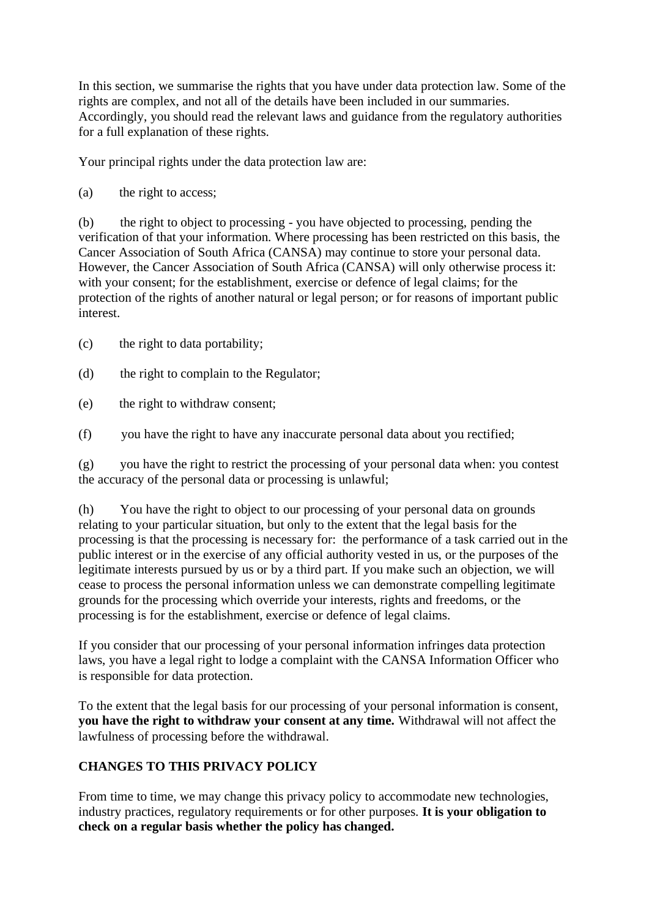In this section, we summarise the rights that you have under data protection law. Some of the rights are complex, and not all of the details have been included in our summaries. Accordingly, you should read the relevant laws and guidance from the regulatory authorities for a full explanation of these rights.

Your principal rights under the data protection law are:

(a) the right to access;

(b) the right to object to processing - you have objected to processing, pending the verification of that your information. Where processing has been restricted on this basis, the Cancer Association of South Africa (CANSA) may continue to store your personal data. However, the Cancer Association of South Africa (CANSA) will only otherwise process it: with your consent; for the establishment, exercise or defence of legal claims; for the protection of the rights of another natural or legal person; or for reasons of important public interest.

(c) the right to data portability;

- (d) the right to complain to the Regulator;
- (e) the right to withdraw consent;

(f) you have the right to have any inaccurate personal data about you rectified;

(g) you have the right to restrict the processing of your personal data when: you contest the accuracy of the personal data or processing is unlawful;

(h) You have the right to object to our processing of your personal data on grounds relating to your particular situation, but only to the extent that the legal basis for the processing is that the processing is necessary for: the performance of a task carried out in the public interest or in the exercise of any official authority vested in us, or the purposes of the legitimate interests pursued by us or by a third part. If you make such an objection, we will cease to process the personal information unless we can demonstrate compelling legitimate grounds for the processing which override your interests, rights and freedoms, or the processing is for the establishment, exercise or defence of legal claims.

If you consider that our processing of your personal information infringes data protection laws, you have a legal right to lodge a complaint with the CANSA Information Officer who is responsible for data protection.

To the extent that the legal basis for our processing of your personal information is consent, **you have the right to withdraw your consent at any time.** Withdrawal will not affect the lawfulness of processing before the withdrawal.

# **CHANGES TO THIS PRIVACY POLICY**

From time to time, we may change this privacy policy to accommodate new technologies, industry practices, regulatory requirements or for other purposes. **It is your obligation to check on a regular basis whether the policy has changed.**